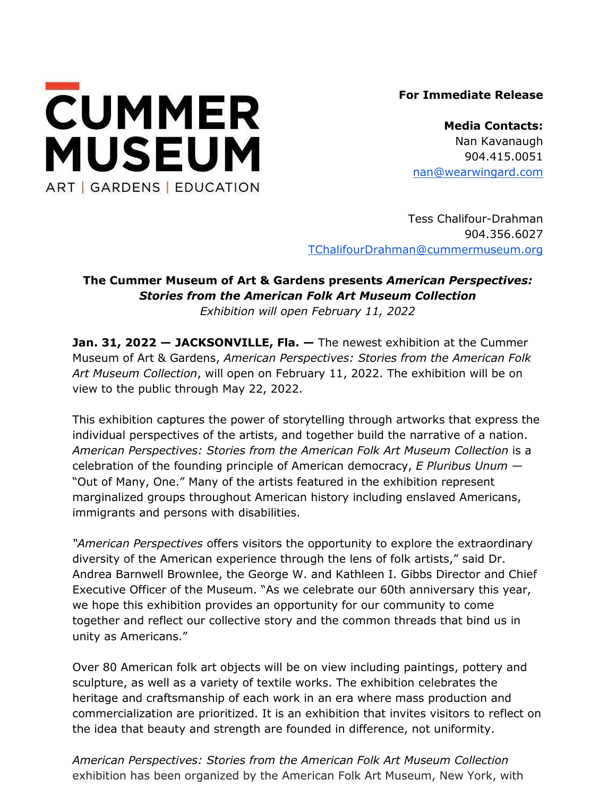

**For Immediate Release**

**Media Contacts:**  Nan Kavanaugh 904.415.0051 [nan@wearwingard.com](mailto:nan@wearwingard.com)

Tess Chalifour-Drahman 904.356.6027 [TChalifourDrahman@cummermuseum.org](mailto:TChaliforDrahman@cummermuseum.org)

# **The Cummer Museum of Art & Gardens presents** *American Perspectives: Stories from the American Folk Art Museum Collection Exhibition will open February 11, 2022*

**Jan. 31, 2022 — JACKSONVILLE, Fla. —** The newest exhibition at the Cummer Museum of Art & Gardens, *American Perspectives: Stories from the American Folk Art Museum Collection*, will open on February 11, 2022. The exhibition will be on view to the public through May 22, 2022.

This exhibition captures the power of storytelling through artworks that express the individual perspectives of the artists, and together build the narrative of a nation. *American Perspectives: Stories from the American Folk Art Museum Collection* is a celebration of the founding principle of American democracy, *E Pluribus Unum —* "Out of Many, One." Many of the artists featured in the exhibition represent marginalized groups throughout American history including enslaved Americans, immigrants and persons with disabilities.

*"American Perspectives* offers visitors the opportunity to explore the extraordinary diversity of the American experience through the lens of folk artists," said Dr. Andrea Barnwell Brownlee, the George W. and Kathleen I. Gibbs Director and Chief Executive Officer of the Museum. "As we celebrate our 60th anniversary this year, we hope this exhibition provides an opportunity for our community to come together and reflect our collective story and the common threads that bind us in unity as Americans."

Over 80 American folk art objects will be on view including paintings, pottery and sculpture, as well as a variety of textile works. The exhibition celebrates the heritage and craftsmanship of each work in an era where mass production and commercialization are prioritized. It is an exhibition that invites visitors to reflect on the idea that beauty and strength are founded in difference, not uniformity.

*American Perspectives: Stories from the American Folk Art Museum Collection* exhibition has been organized by the American Folk Art Museum, New York, with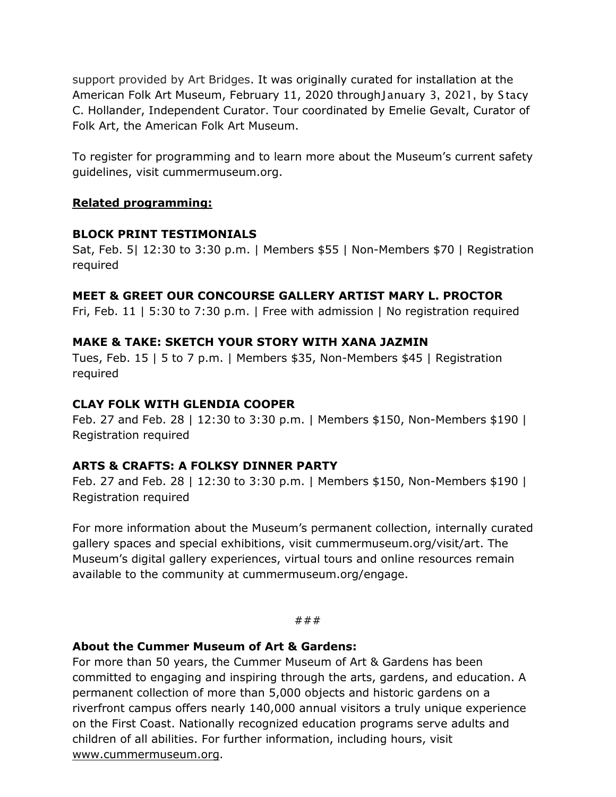support provided by Art Bridges. It was originally curated for installation at the American Folk Art Museum, February 11, 2020 throughJanuary 3, 2021, by Stacy C. Hollander, Independent Curator. Tour coordinated by Emelie Gevalt, Curator of Folk Art, the American Folk Art Museum.

To register for programming and to learn more about the Museum's current safety guidelines, visit cummermuseum.org.

## **Related programming:**

### **BLOCK PRINT TESTIMONIALS**

Sat, Feb. 5| 12:30 to 3:30 p.m. | Members \$55 | Non-Members \$70 | Registration required

# **MEET & GREET OUR CONCOURSE GALLERY ARTIST MARY L. PROCTOR**

Fri, Feb. 11 | 5:30 to 7:30 p.m. | Free with admission | No registration required

### **MAKE & TAKE: SKETCH YOUR STORY WITH XANA JAZMIN**

Tues, Feb. 15 | 5 to 7 p.m. | Members \$35, Non-Members \$45 | Registration required

## **CLAY FOLK WITH GLENDIA COOPER**

Feb. 27 and Feb. 28 | 12:30 to 3:30 p.m. | Members \$150, Non-Members \$190 | Registration required

### **ARTS & CRAFTS: A FOLKSY DINNER PARTY**

Feb. 27 and Feb. 28 | 12:30 to 3:30 p.m. | Members \$150, Non-Members \$190 | Registration required

For more information about the Museum's permanent collection, internally curated gallery spaces and special exhibitions, visit cummermuseum.org/visit/art. The Museum's digital gallery experiences, virtual tours and online resources remain available to the community at cummermuseum.org/engage.

#### ###

### **About the Cummer Museum of Art & Gardens:**

For more than 50 years, the Cummer Museum of Art & Gardens has been committed to engaging and inspiring through the arts, gardens, and education. A permanent collection of more than 5,000 objects and historic gardens on a riverfront campus offers nearly 140,000 annual visitors a truly unique experience on the First Coast. Nationally recognized education programs serve adults and children of all abilities. For further information, including hours, visit [www.cummermuseum.org.](http://www.cummermuseum.org/)